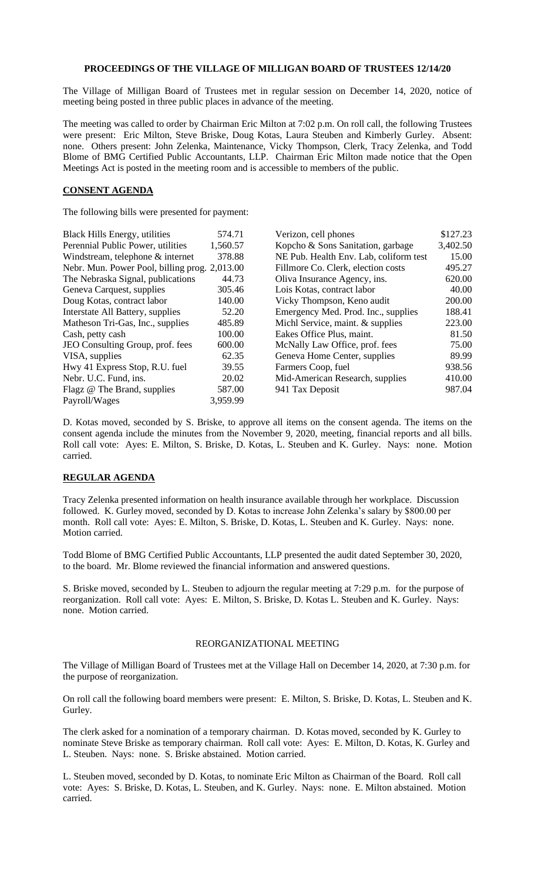## **PROCEEDINGS OF THE VILLAGE OF MILLIGAN BOARD OF TRUSTEES 12/14/20**

The Village of Milligan Board of Trustees met in regular session on December 14, 2020, notice of meeting being posted in three public places in advance of the meeting.

The meeting was called to order by Chairman Eric Milton at 7:02 p.m. On roll call, the following Trustees were present: Eric Milton, Steve Briske, Doug Kotas, Laura Steuben and Kimberly Gurley. Absent: none. Others present: John Zelenka, Maintenance, Vicky Thompson, Clerk, Tracy Zelenka, and Todd Blome of BMG Certified Public Accountants, LLP. Chairman Eric Milton made notice that the Open Meetings Act is posted in the meeting room and is accessible to members of the public.

## **CONSENT AGENDA**

The following bills were presented for payment:

| <b>Black Hills Energy, utilities</b>          | 574.71   | Verizon, cell phones                   | \$127.23 |
|-----------------------------------------------|----------|----------------------------------------|----------|
| Perennial Public Power, utilities             | 1,560.57 | Kopcho & Sons Sanitation, garbage      | 3,402.50 |
| Windstream, telephone & internet              | 378.88   | NE Pub. Health Env. Lab, coliform test | 15.00    |
| Nebr. Mun. Power Pool, billing prog. 2,013.00 |          | Fillmore Co. Clerk, election costs     | 495.27   |
| The Nebraska Signal, publications             | 44.73    | Oliva Insurance Agency, ins.           | 620.00   |
| Geneva Carquest, supplies                     | 305.46   | Lois Kotas, contract labor             | 40.00    |
| Doug Kotas, contract labor                    | 140.00   | Vicky Thompson, Keno audit             | 200.00   |
| Interstate All Battery, supplies              | 52.20    | Emergency Med. Prod. Inc., supplies    | 188.41   |
| Matheson Tri-Gas, Inc., supplies              | 485.89   | Michl Service, maint. & supplies       | 223.00   |
| Cash, petty cash                              | 100.00   | Eakes Office Plus, maint.              | 81.50    |
| JEO Consulting Group, prof. fees              | 600.00   | McNally Law Office, prof. fees         | 75.00    |
| VISA, supplies                                | 62.35    | Geneva Home Center, supplies           | 89.99    |
| Hwy 41 Express Stop, R.U. fuel                | 39.55    | Farmers Coop, fuel                     | 938.56   |
| Nebr. U.C. Fund, ins.                         | 20.02    | Mid-American Research, supplies        | 410.00   |
| Flagz @ The Brand, supplies                   | 587.00   | 941 Tax Deposit                        | 987.04   |
| Payroll/Wages                                 | 3,959.99 |                                        |          |

D. Kotas moved, seconded by S. Briske, to approve all items on the consent agenda. The items on the consent agenda include the minutes from the November 9, 2020, meeting, financial reports and all bills. Roll call vote: Ayes: E. Milton, S. Briske, D. Kotas, L. Steuben and K. Gurley. Nays: none. Motion carried.

## **REGULAR AGENDA**

Tracy Zelenka presented information on health insurance available through her workplace. Discussion followed. K. Gurley moved, seconded by D. Kotas to increase John Zelenka's salary by \$800.00 per month. Roll call vote: Ayes: E. Milton, S. Briske, D. Kotas, L. Steuben and K. Gurley. Nays: none. Motion carried.

Todd Blome of BMG Certified Public Accountants, LLP presented the audit dated September 30, 2020, to the board. Mr. Blome reviewed the financial information and answered questions.

S. Briske moved, seconded by L. Steuben to adjourn the regular meeting at 7:29 p.m. for the purpose of reorganization. Roll call vote: Ayes: E. Milton, S. Briske, D. Kotas L. Steuben and K. Gurley. Nays: none. Motion carried.

## REORGANIZATIONAL MEETING

The Village of Milligan Board of Trustees met at the Village Hall on December 14, 2020, at 7:30 p.m. for the purpose of reorganization.

On roll call the following board members were present: E. Milton, S. Briske, D. Kotas, L. Steuben and K. Gurley.

The clerk asked for a nomination of a temporary chairman. D. Kotas moved, seconded by K. Gurley to nominate Steve Briske as temporary chairman. Roll call vote: Ayes: E. Milton, D. Kotas, K. Gurley and L. Steuben. Nays: none. S. Briske abstained. Motion carried.

L. Steuben moved, seconded by D. Kotas, to nominate Eric Milton as Chairman of the Board. Roll call vote: Ayes: S. Briske, D. Kotas, L. Steuben, and K. Gurley. Nays: none. E. Milton abstained. Motion carried.